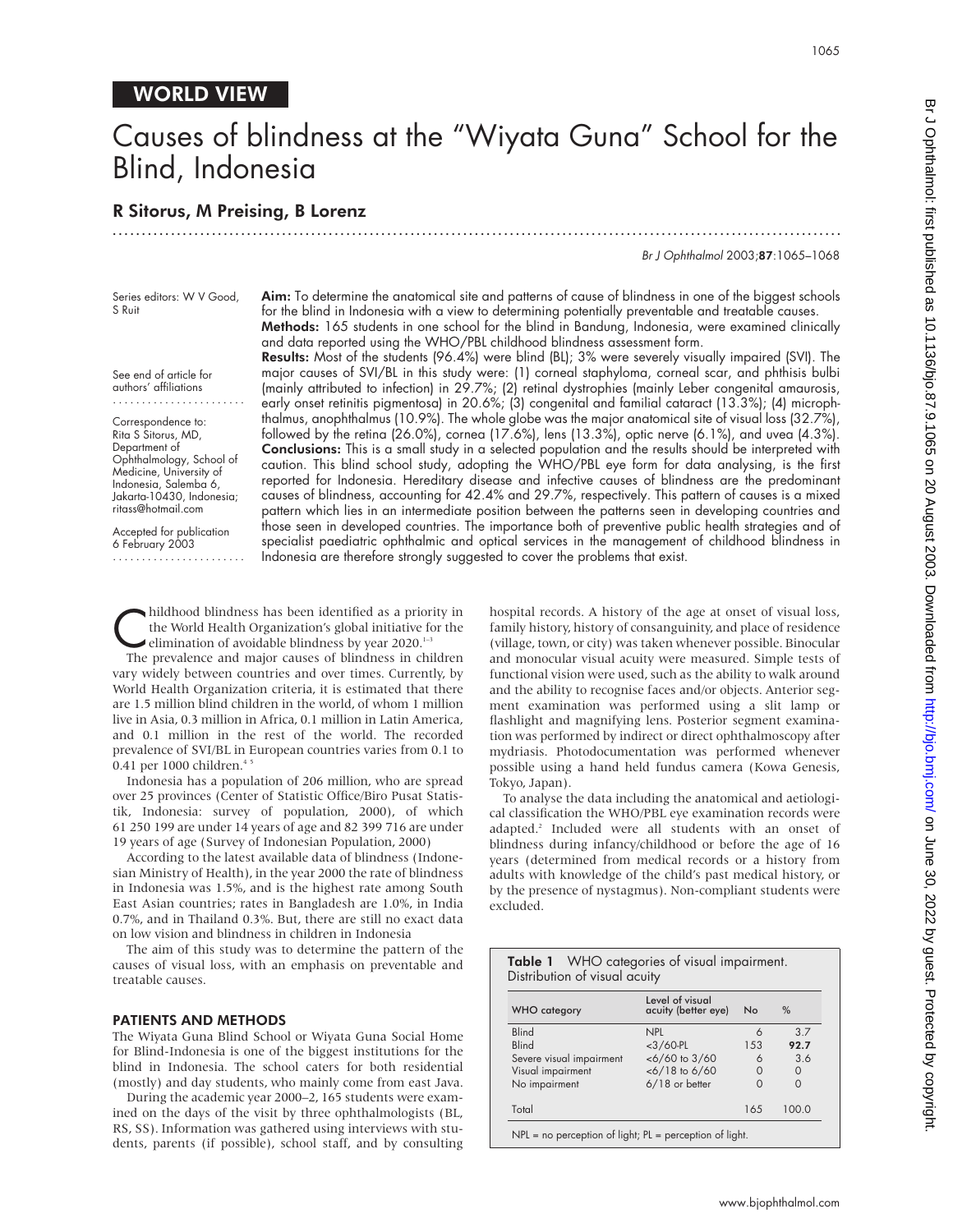# Causes of blindness at the "Wiyata Guna" School for the Blind, Indonesia R Sitorus, M Preising, B Lorenz .............................................................................................................................

Br J Ophthalmol 2003;87:1065–1068

Series editors: W V Good, S Ruit

Aim: To determine the anatomical site and patterns of cause of blindness in one of the biggest schools for the blind in Indonesia with a view to determining potentially preventable and treatable causes. Methods: 165 students in one school for the blind in Bandung, Indonesia, were examined clinically and data reported using the WHO/PBL childhood blindness assessment form.

See end of article for authors' affiliations .......................

Correspondence to: Rita S Sitorus, MD, Department of Ophthalmology, School of Medicine, University of Indonesia, Salemba 6, Jakarta-10430, Indonesia; ritass@hotmail.com

Accepted for publication 6 February 2003 ....................... Results: Most of the students (96.4%) were blind (BL); 3% were severely visually impaired (SVI). The major causes of SVI/BL in this study were: (1) corneal staphyloma, corneal scar, and phthisis bulbi

(mainly attributed to infection) in 29.7%; (2) retinal dystrophies (mainly Leber congenital amaurosis, early onset retinitis pigmentosa) in 20.6%; (3) congenital and familial cataract (13.3%); (4) microphthalmus, anophthalmus (10.9%). The whole globe was the major anatomical site of visual loss (32.7%), followed by the retina (26.0%), cornea (17.6%), lens (13.3%), optic nerve (6.1%), and uvea (4.3%). Conclusions: This is a small study in a selected population and the results should be interpreted with caution. This blind school study, adopting the WHO/PBL eye form for data analysing, is the first reported for Indonesia. Hereditary disease and infective causes of blindness are the predominant causes of blindness, accounting for 42.4% and 29.7%, respectively. This pattern of causes is a mixed pattern which lies in an intermediate position between the patterns seen in developing countries and those seen in developed countries. The importance both of preventive public health strategies and of specialist paediatric ophthalmic and optical services in the management of childhood blindness in Indonesia are therefore strongly suggested to cover the problems that exist.

hildhood blindness has been identified as a priority in<br>the World Health Organization's global initiative for the<br>elimination of avoidable blindness by year 2020.<sup>1-3</sup><br>The prevalence and major causes of blindness in childr the World Health Organization's global initiative for the elimination of avoidable blindness by year 2020.<sup>1–3</sup>

The prevalence and major causes of blindness in children vary widely between countries and over times. Currently, by World Health Organization criteria, it is estimated that there are 1.5 million blind children in the world, of whom 1 million live in Asia, 0.3 million in Africa, 0.1 million in Latin America, and 0.1 million in the rest of the world. The recorded prevalence of SVI/BL in European countries varies from 0.1 to 0.41 per 1000 children.<sup>4</sup>

Indonesia has a population of 206 million, who are spread over 25 provinces (Center of Statistic Office/Biro Pusat Statistik, Indonesia: survey of population, 2000), of which 61 250 199 are under 14 years of age and 82 399 716 are under 19 years of age (Survey of Indonesian Population, 2000)

According to the latest available data of blindness (Indonesian Ministry of Health), in the year 2000 the rate of blindness in Indonesia was 1.5%, and is the highest rate among South East Asian countries; rates in Bangladesh are 1.0%, in India 0.7%, and in Thailand 0.3%. But, there are still no exact data on low vision and blindness in children in Indonesia

The aim of this study was to determine the pattern of the causes of visual loss, with an emphasis on preventable and treatable causes.

#### PATIENTS AND METHODS

The Wiyata Guna Blind School or Wiyata Guna Social Home for Blind-Indonesia is one of the biggest institutions for the blind in Indonesia. The school caters for both residential (mostly) and day students, who mainly come from east Java.

During the academic year 2000–2, 165 students were examined on the days of the visit by three ophthalmologists (BL, RS, SS). Information was gathered using interviews with students, parents (if possible), school staff, and by consulting

hospital records. A history of the age at onset of visual loss, family history, history of consanguinity, and place of residence (village, town, or city) was taken whenever possible. Binocular and monocular visual acuity were measured. Simple tests of functional vision were used, such as the ability to walk around and the ability to recognise faces and/or objects. Anterior segment examination was performed using a slit lamp or flashlight and magnifying lens. Posterior segment examination was performed by indirect or direct ophthalmoscopy after mydriasis. Photodocumentation was performed whenever possible using a hand held fundus camera (Kowa Genesis, Tokyo, Japan).

To analyse the data including the anatomical and aetiological classification the WHO/PBL eye examination records were adapted.<sup>2</sup> Included were all students with an onset of blindness during infancy/childhood or before the age of 16 years (determined from medical records or a history from adults with knowledge of the child's past medical history, or by the presence of nystagmus). Non-compliant students were excluded.

Table 1 WHO categories of visual impairment.

 $Distribution$  of visual a

| <b>WHO</b> category      | Level of visual<br>acuity (better eye) | No   | %        |  |
|--------------------------|----------------------------------------|------|----------|--|
| <b>Blind</b>             | <b>NPL</b>                             | 6    | 3.7      |  |
| <b>Blind</b>             | $<$ 3/60-PL                            | 1.53 | 92.7     |  |
| Severe visual impairment | $<6/60$ to $3/60$                      | 6    | 3.6      |  |
| Visual impairment        | $<$ 6/18 to 6/60                       | 0    | $\Omega$ |  |
| No impairment            | 6/18 or better                         | O    | $\Omega$ |  |
| Total                    |                                        | 165  | 100.0    |  |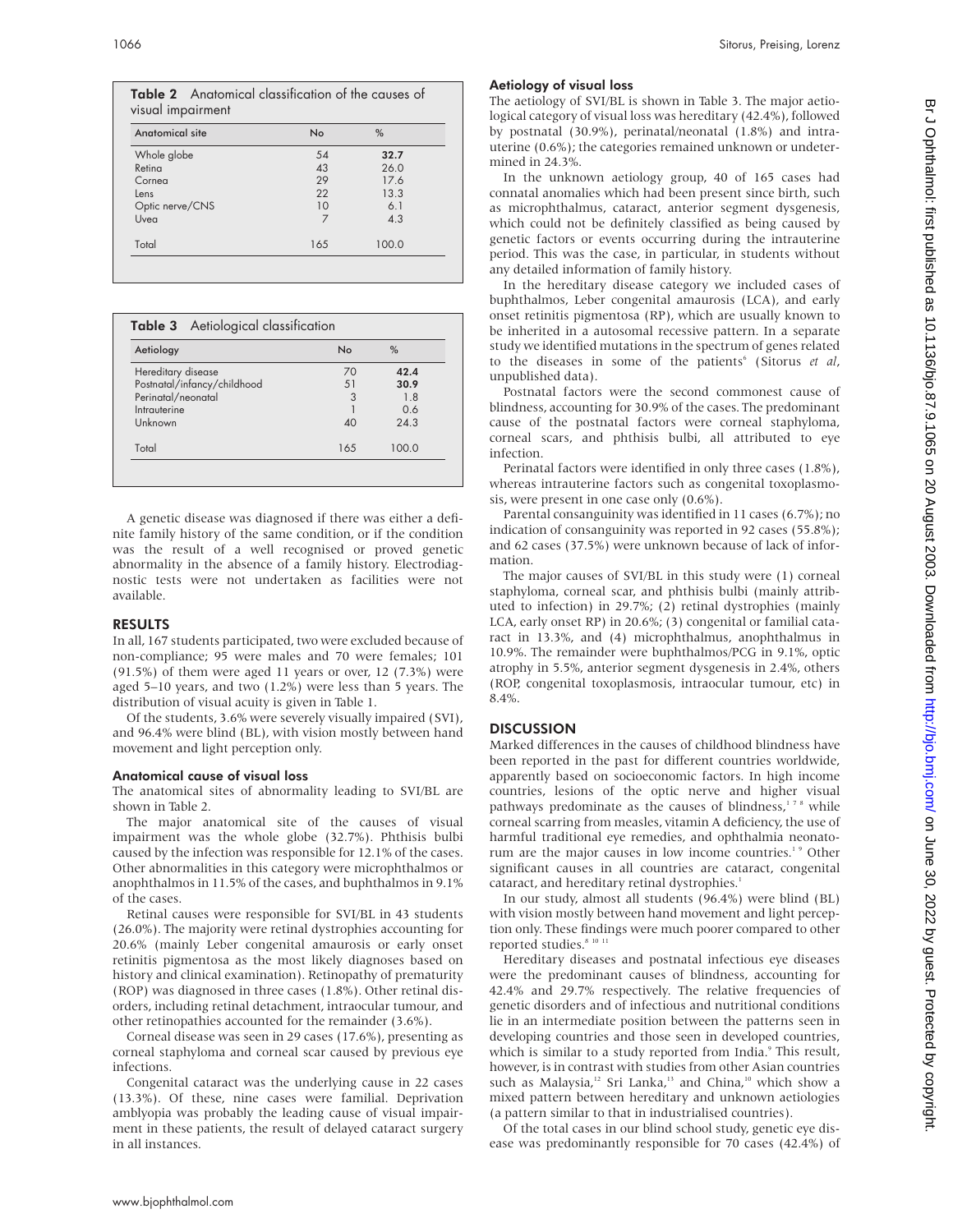| Anatomical site | <b>No</b> | $\%$  |  |
|-----------------|-----------|-------|--|
| Whole globe     | 54        | 32.7  |  |
| Retina          | 43        | 26.0  |  |
| Cornea          | 29        | 17.6  |  |
| Lens            | 22        | 13.3  |  |
| Optic nerve/CNS | 10        | 6.1   |  |
| Uvea            | 7         | 4.3   |  |
| Total           | 165       | 100.0 |  |

| Aetiology                   | No      | $\%$  |  |  |
|-----------------------------|---------|-------|--|--|
| Hereditary disease          | 70      | 42.4  |  |  |
| Postnatal/infancy/childhood | 51      | 30.9  |  |  |
| Perinatal/neonatal          | 3<br>18 |       |  |  |
| Intrauterine                |         | 0.6   |  |  |
| Unknown                     | 40      | 24.3  |  |  |
| Total                       | 165     | 100 Q |  |  |

A genetic disease was diagnosed if there was either a definite family history of the same condition, or if the condition was the result of a well recognised or proved genetic abnormality in the absence of a family history. Electrodiagnostic tests were not undertaken as facilities were not available.

#### RESULTS

In all, 167 students participated, two were excluded because of non-compliance; 95 were males and 70 were females; 101 (91.5%) of them were aged 11 years or over, 12 (7.3%) were aged 5–10 years, and two (1.2%) were less than 5 years. The distribution of visual acuity is given in Table 1.

Of the students, 3.6% were severely visually impaired (SVI), and 96.4% were blind (BL), with vision mostly between hand movement and light perception only.

#### Anatomical cause of visual loss

The anatomical sites of abnormality leading to SVI/BL are shown in Table 2.

The major anatomical site of the causes of visual impairment was the whole globe (32.7%). Phthisis bulbi caused by the infection was responsible for 12.1% of the cases. Other abnormalities in this category were microphthalmos or anophthalmos in 11.5% of the cases, and buphthalmos in 9.1% of the cases.

Retinal causes were responsible for SVI/BL in 43 students (26.0%). The majority were retinal dystrophies accounting for 20.6% (mainly Leber congenital amaurosis or early onset retinitis pigmentosa as the most likely diagnoses based on history and clinical examination). Retinopathy of prematurity (ROP) was diagnosed in three cases (1.8%). Other retinal disorders, including retinal detachment, intraocular tumour, and other retinopathies accounted for the remainder (3.6%).

Corneal disease was seen in 29 cases (17.6%), presenting as corneal staphyloma and corneal scar caused by previous eye infections.

Congenital cataract was the underlying cause in 22 cases (13.3%). Of these, nine cases were familial. Deprivation amblyopia was probably the leading cause of visual impairment in these patients, the result of delayed cataract surgery in all instances.

#### Aetiology of visual loss

The aetiology of SVI/BL is shown in Table 3. The major aetiological category of visual loss was hereditary (42.4%), followed by postnatal (30.9%), perinatal/neonatal (1.8%) and intrauterine (0.6%); the categories remained unknown or undetermined in 24.3%.

In the unknown aetiology group, 40 of 165 cases had connatal anomalies which had been present since birth, such as microphthalmus, cataract, anterior segment dysgenesis, which could not be definitely classified as being caused by genetic factors or events occurring during the intrauterine period. This was the case, in particular, in students without any detailed information of family history.

In the hereditary disease category we included cases of buphthalmos, Leber congenital amaurosis (LCA), and early onset retinitis pigmentosa (RP), which are usually known to be inherited in a autosomal recessive pattern. In a separate study we identified mutations in the spectrum of genes related to the diseases in some of the patients<sup>6</sup> (Sitorus *et al*, unpublished data).

Postnatal factors were the second commonest cause of blindness, accounting for 30.9% of the cases. The predominant cause of the postnatal factors were corneal staphyloma, corneal scars, and phthisis bulbi, all attributed to eye infection.

Perinatal factors were identified in only three cases (1.8%), whereas intrauterine factors such as congenital toxoplasmosis, were present in one case only (0.6%).

Parental consanguinity was identified in 11 cases (6.7%); no indication of consanguinity was reported in 92 cases (55.8%); and 62 cases (37.5%) were unknown because of lack of information.

The major causes of SVI/BL in this study were (1) corneal staphyloma, corneal scar, and phthisis bulbi (mainly attributed to infection) in 29.7%; (2) retinal dystrophies (mainly LCA, early onset RP) in 20.6%; (3) congenital or familial cataract in 13.3%, and (4) microphthalmus, anophthalmus in 10.9%. The remainder were buphthalmos/PCG in 9.1%, optic atrophy in 5.5%, anterior segment dysgenesis in 2.4%, others (ROP, congenital toxoplasmosis, intraocular tumour, etc) in 8.4%.

## **DISCUSSION**

Marked differences in the causes of childhood blindness have been reported in the past for different countries worldwide, apparently based on socioeconomic factors. In high income countries, lesions of the optic nerve and higher visual pathways predominate as the causes of blindness,<sup>178</sup> while corneal scarring from measles, vitamin A deficiency, the use of harmful traditional eye remedies, and ophthalmia neonatorum are the major causes in low income countries.<sup>1</sup> Other significant causes in all countries are cataract, congenital cataract, and hereditary retinal dystrophies.<sup>1</sup>

In our study, almost all students (96.4%) were blind (BL) with vision mostly between hand movement and light perception only. These findings were much poorer compared to other reported studies. $81011$ 

Hereditary diseases and postnatal infectious eye diseases were the predominant causes of blindness, accounting for 42.4% and 29.7% respectively. The relative frequencies of genetic disorders and of infectious and nutritional conditions lie in an intermediate position between the patterns seen in developing countries and those seen in developed countries, which is similar to a study reported from India.<sup>9</sup> This result, however, is in contrast with studies from other Asian countries such as Malaysia,<sup>12</sup> Sri Lanka,<sup>13</sup> and China,<sup>10</sup> which show a mixed pattern between hereditary and unknown aetiologies (a pattern similar to that in industrialised countries).

Of the total cases in our blind school study, genetic eye disease was predominantly responsible for 70 cases (42.4%) of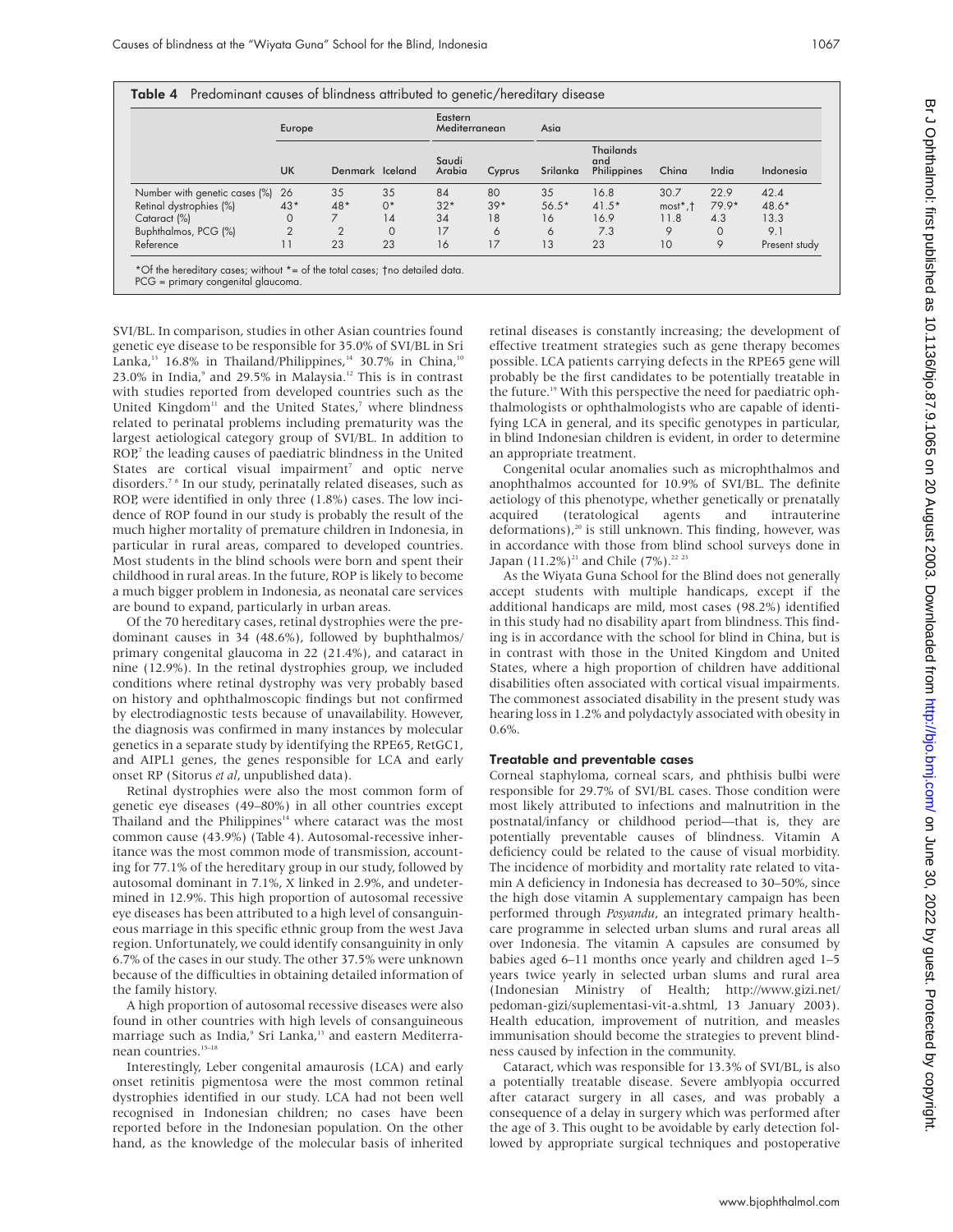|                               | Europe         |                 |          | Eastern<br>Asia<br>Mediterranean |        |          |                                        |                      |          |               |
|-------------------------------|----------------|-----------------|----------|----------------------------------|--------|----------|----------------------------------------|----------------------|----------|---------------|
|                               | <b>UK</b>      | Denmark Iceland |          | Saudi<br>Arabia                  | Cyprus | Srilanka | <b>Thailands</b><br>and<br>Philippines | China                | India    | Indonesia     |
| Number with genetic cases (%) | - 26           | 35              | 35       | 84                               | 80     | 35       | 16.8                                   | 30.7                 | 22.9     | 42.4          |
| Retinal dystrophies (%)       | $43*$          | $48*$           | $0*$     | $32*$                            | $39*$  | $56.5*$  | $41.5*$                                | $most^*$ , $\dagger$ | $79.9*$  | $48.6*$       |
| Cataract (%)                  | 0              |                 | 14       | 34                               | 18     | 16       | 16.9                                   | 11.8                 | 4.3      | 13.3          |
| Buphthalmos, PCG (%)          | $\overline{2}$ |                 | $\Omega$ | 17                               | 6      | 6        | 7.3                                    | 9                    | $\Omega$ | 9.1           |
| Reference                     |                | 23              | 23       | 16                               | 17     | 13       | 23                                     | 10                   | 9        | Present study |

**Table 4** Predominant causes of blindness attributed to genetic/hereditary disease

PCG = primary congenital glaucoma.

SVI/BL. In comparison, studies in other Asian countries found genetic eye disease to be responsible for 35.0% of SVI/BL in Sri Lanka,<sup>13</sup> 16.8% in Thailand/Philippines,<sup>14</sup> 30.7% in China,<sup>10</sup>  $23.0\%$  in India, $^{\circ}$  and  $29.5\%$  in Malaysia.<sup>12</sup> This is in contrast with studies reported from developed countries such as the United Kingdom<sup>11</sup> and the United States,<sup>7</sup> where blindness related to perinatal problems including prematurity was the largest aetiological category group of SVI/BL. In addition to ROP,<sup>7</sup> the leading causes of paediatric blindness in the United States are cortical visual impairment<sup>7</sup> and optic nerve disorders.7 8 In our study, perinatally related diseases, such as ROP, were identified in only three (1.8%) cases. The low incidence of ROP found in our study is probably the result of the much higher mortality of premature children in Indonesia, in particular in rural areas, compared to developed countries. Most students in the blind schools were born and spent their childhood in rural areas. In the future, ROP is likely to become a much bigger problem in Indonesia, as neonatal care services are bound to expand, particularly in urban areas.

Of the 70 hereditary cases, retinal dystrophies were the predominant causes in 34 (48.6%), followed by buphthalmos/ primary congenital glaucoma in 22 (21.4%), and cataract in nine (12.9%). In the retinal dystrophies group, we included conditions where retinal dystrophy was very probably based on history and ophthalmoscopic findings but not confirmed by electrodiagnostic tests because of unavailability. However, the diagnosis was confirmed in many instances by molecular genetics in a separate study by identifying the RPE65, RetGC1, and AIPL1 genes, the genes responsible for LCA and early onset RP (Sitorus *et al*, unpublished data).

Retinal dystrophies were also the most common form of genetic eye diseases (49–80%) in all other countries except Thailand and the Philippines $14$  where cataract was the most common cause (43.9%) (Table 4). Autosomal-recessive inheritance was the most common mode of transmission, accounting for 77.1% of the hereditary group in our study, followed by autosomal dominant in 7.1%, X linked in 2.9%, and undetermined in 12.9%. This high proportion of autosomal recessive eye diseases has been attributed to a high level of consanguineous marriage in this specific ethnic group from the west Java region. Unfortunately, we could identify consanguinity in only 6.7% of the cases in our study. The other 37.5% were unknown because of the difficulties in obtaining detailed information of the family history.

A high proportion of autosomal recessive diseases were also found in other countries with high levels of consanguineous marriage such as India,<sup>9</sup> Sri Lanka,<sup>13</sup> and eastern Mediterranean countries.<sup>15-18</sup>

Interestingly, Leber congenital amaurosis (LCA) and early onset retinitis pigmentosa were the most common retinal dystrophies identified in our study. LCA had not been well recognised in Indonesian children; no cases have been reported before in the Indonesian population. On the other hand, as the knowledge of the molecular basis of inherited

retinal diseases is constantly increasing; the development of effective treatment strategies such as gene therapy becomes possible. LCA patients carrying defects in the RPE65 gene will probably be the first candidates to be potentially treatable in the future.<sup>19</sup> With this perspective the need for paediatric ophthalmologists or ophthalmologists who are capable of identifying LCA in general, and its specific genotypes in particular, in blind Indonesian children is evident, in order to determine an appropriate treatment.

Congenital ocular anomalies such as microphthalmos and anophthalmos accounted for 10.9% of SVI/BL. The definite aetiology of this phenotype, whether genetically or prenatally acquired (teratological agents and intrauterine deformations),<sup>20</sup> is still unknown. This finding, however, was in accordance with those from blind school surveys done in Japan (11.2%)<sup>21</sup> and Chile (7%).<sup>22 23</sup>

As the Wiyata Guna School for the Blind does not generally accept students with multiple handicaps, except if the additional handicaps are mild, most cases (98.2%) identified in this study had no disability apart from blindness. This finding is in accordance with the school for blind in China, but is in contrast with those in the United Kingdom and United States, where a high proportion of children have additional disabilities often associated with cortical visual impairments. The commonest associated disability in the present study was hearing loss in 1.2% and polydactyly associated with obesity in 0.6%.

#### Treatable and preventable cases

Corneal staphyloma, corneal scars, and phthisis bulbi were responsible for 29.7% of SVI/BL cases. Those condition were most likely attributed to infections and malnutrition in the postnatal/infancy or childhood period—that is, they are potentially preventable causes of blindness. Vitamin A deficiency could be related to the cause of visual morbidity. The incidence of morbidity and mortality rate related to vitamin A deficiency in Indonesia has decreased to 30–50%, since the high dose vitamin A supplementary campaign has been performed through *Posyandu*, an integrated primary healthcare programme in selected urban slums and rural areas all over Indonesia. The vitamin A capsules are consumed by babies aged 6–11 months once yearly and children aged 1–5 years twice yearly in selected urban slums and rural area (Indonesian Ministry of Health; http://www.gizi.net/ pedoman-gizi/suplementasi-vit-a.shtml, 13 January 2003). Health education, improvement of nutrition, and measles immunisation should become the strategies to prevent blindness caused by infection in the community.

Cataract, which was responsible for 13.3% of SVI/BL, is also a potentially treatable disease. Severe amblyopia occurred after cataract surgery in all cases, and was probably a consequence of a delay in surgery which was performed after the age of 3. This ought to be avoidable by early detection followed by appropriate surgical techniques and postoperative